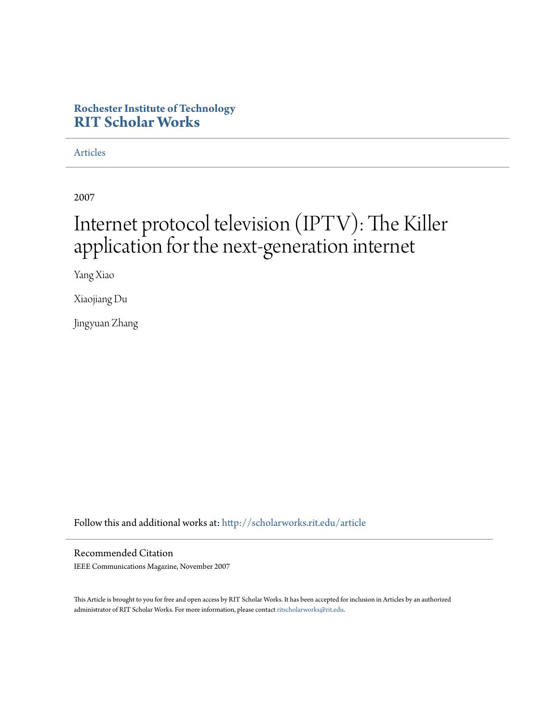# **Rochester Institute of Technology [RIT Scholar Works](http://scholarworks.rit.edu?utm_source=scholarworks.rit.edu%2Farticle%2F954&utm_medium=PDF&utm_campaign=PDFCoverPages)**

[Articles](http://scholarworks.rit.edu/article?utm_source=scholarworks.rit.edu%2Farticle%2F954&utm_medium=PDF&utm_campaign=PDFCoverPages)

2007

# Internet protocol television (IPTV): The Killer application for the next-generation internet

Yang Xiao

Xiaojiang Du

Jingyuan Zhang

Follow this and additional works at: [http://scholarworks.rit.edu/article](http://scholarworks.rit.edu/article?utm_source=scholarworks.rit.edu%2Farticle%2F954&utm_medium=PDF&utm_campaign=PDFCoverPages)

Recommended Citation IEEE Communications Magazine, November 2007

This Article is brought to you for free and open access by RIT Scholar Works. It has been accepted for inclusion in Articles by an authorized administrator of RIT Scholar Works. For more information, please contact [ritscholarworks@rit.edu.](mailto:ritscholarworks@rit.edu)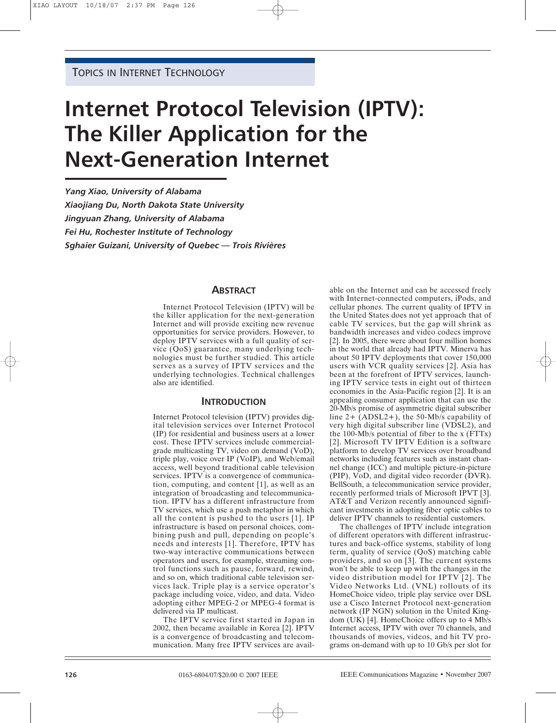# **Internet Protocol Television (IPTV): The Killer Application for the Next-Generation Internet**

*Yang Xiao, University of Alabama Xiaojiang Du, North Dakota State University Jingyuan Zhang, University of Alabama Fei Hu, Rochester Institute of Technology Sghaier Guizani, University of Quebec — Trois Rivières*

# **ABSTRACT**

Internet Protocol Television (IPTV) will be the killer application for the next-generation Internet and will provide exciting new revenue opportunities for service providers. However, to deploy IPTV services with a full quality of service (QoS) guarantee, many underlying technologies must be further studied. This article serves as a survey of IPTV services and the underlying technologies. Technical challenges also are identified.

# **INTRODUCTION**

Internet Protocol television (IPTV) provides digital television services over Internet Protocol (IP) for residential and business users at a lower cost. These IPTV services include commercialgrade multicasting TV, video on demand (VoD), triple play, voice over IP (VoIP), and Web/email access, well beyond traditional cable television services. IPTV is a convergence of communication, computing, and content [1], as well as an integration of broadcasting and telecommunication. IPTV has a different infrastructure from TV services, which use a push metaphor in which all the content is pushed to the users [1]. IP infrastructure is based on personal choices, combining push and pull, depending on people's needs and interests [1]. Therefore, IPTV has two-way interactive communications between operators and users, for example, streaming control functions such as pause, forward, rewind, and so on, which traditional cable television services lack. Triple play is a service operator's package including voice, video, and data. Video adopting either MPEG-2 or MPEG-4 format is delivered via IP multicast.

The IPTV service first started in Japan in 2002, then became available in Korea [2]. IPTV is a convergence of broadcasting and telecommunication. Many free IPTV services are available on the Internet and can be accessed freely with Internet-connected computers, iPods, and cellular phones. The current quality of IPTV in the United States does not yet approach that of cable TV services, but the gap will shrink as bandwidth increases and video codecs improve [2]. In 2005, there were about four million homes in the world that already had IPTV. Minerva has about 50 IPTV deployments that cover 150,000 users with VCR quality services [2]. Asia has been at the forefront of IPTV services, launching IPTV service tests in eight out of thirteen economies in the Asia-Pacific region [2]. It is an appealing consumer application that can use the 20-Mb/s promise of asymmetric digital subscriber line  $2+\hat{A}$ (ADSL2+), the 50-Mb/s capability of very high digital subscriber line (VDSL2), and the 100-Mb/s potential of fiber to the x (FTTx) [2]. Microsoft TV IPTV Edition is a software platform to develop TV services over broadband networks including features such as instant channel change (ICC) and multiple picture-in-picture (PIP), VoD, and digital video recorder (DVR). BellSouth, a telecommunication service provider, recently performed trials of Microsoft IPVT [3]. AT&T and Verizon recently announced significant investments in adopting fiber optic cables to deliver IPTV channels to residential customers.

The challenges of IPTV include integration of different operators with different infrastructures and back-office systems, stability of long term, quality of service (QoS) matching cable providers, and so on [3]. The current systems won't be able to keep up with the changes in the video distribution model for IPTV [2]. The Video Networks Ltd. (VNL) rollouts of its HomeChoice video, triple play service over DSL use a Cisco Internet Protocol next-generation network (IP NGN) solution in the United Kingdom (UK) [4]. HomeChoice offers up to 4 Mb/s Internet access, IPTV with over 70 channels, and thousands of movies, videos, and hit TV programs on-demand with up to 10 Gb/s per slot for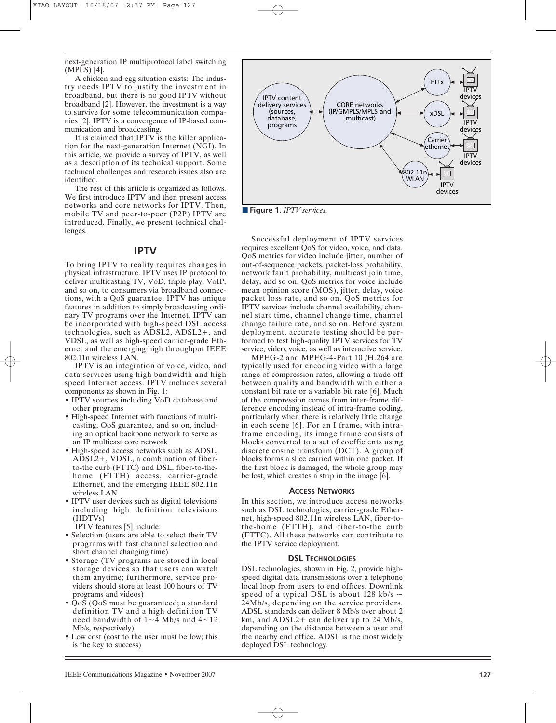next-generation IP multiprotocol label switching (MPLS) [4].

A chicken and egg situation exists: The industry needs IPTV to justify the investment in broadband, but there is no good IPTV without broadband [2]. However, the investment is a way to survive for some telecommunication companies [2]. IPTV is a convergence of IP-based communication and broadcasting.

It is claimed that IPTV is the killer application for the next-generation Internet (NGI). In this article, we provide a survey of IPTV, as well as a description of its technical support. Some technical challenges and research issues also are identified.

The rest of this article is organized as follows. We first introduce IPTV and then present access networks and core networks for IPTV. Then, mobile TV and peer-to-peer (P2P) IPTV are introduced. Finally, we present technical challenges.

# **IPTV**

To bring IPTV to reality requires changes in physical infrastructure. IPTV uses IP protocol to deliver multicasting TV, VoD, triple play, VoIP, and so on, to consumers via broadband connections, with a QoS guarantee. IPTV has unique features in addition to simply broadcasting ordinary TV programs over the Internet. IPTV can be incorporated with high-speed DSL access technologies, such as ADSL2, ADSL2+, and VDSL, as well as high-speed carrier-grade Ethernet and the emerging high throughput IEEE 802.11n wireless LAN.

IPTV is an integration of voice, video, and data services using high bandwidth and high speed Internet access. IPTV includes several components as shown in Fig. 1:

- IPTV sources including VoD database and other programs
- High-speed Internet with functions of multicasting, QoS guarantee, and so on, including an optical backbone network to serve as an IP multicast core network
- High-speed access networks such as ADSL, ADSL2+, VDSL, a combination of fiberto-the curb (FTTC) and DSL, fiber-to-thehome (FTTH) access, carrier-grade Ethernet, and the emerging IEEE 802.11n wireless LAN
- IPTV user devices such as digital televisions including high definition televisions (HDTVs)
	- IPTV features [5] include:
- Selection (users are able to select their TV programs with fast channel selection and short channel changing time)
- Storage (TV programs are stored in local storage devices so that users can watch them anytime; furthermore, service providers should store at least 100 hours of TV programs and videos)
- QoS (QoS must be guaranteed; a standard definition TV and a high definition TV need bandwidth of  $1-\overline{4}$  Mb/s and  $4-\overline{12}$ Mb/s, respectively)
- Low cost (cost to the user must be low; this is the key to success)



**■ Figure 1.** *IPTV services.*

Successful deployment of IPTV services requires excellent QoS for video, voice, and data. QoS metrics for video include jitter, number of out-of-sequence packets, packet-loss probability, network fault probability, multicast join time, delay, and so on. QoS metrics for voice include mean opinion score (MOS), jitter, delay, voice packet loss rate, and so on. QoS metrics for IPTV services include channel availability, channel start time, channel change time, channel change failure rate, and so on. Before system deployment, accurate testing should be performed to test high-quality IPTV services for TV service, video, voice, as well as interactive service.

MPEG-2 and MPEG-4-Part 10 /H.264 are typically used for encoding video with a large range of compression rates, allowing a trade-off between quality and bandwidth with either a constant bit rate or a variable bit rate [6]. Much of the compression comes from inter-frame difference encoding instead of intra-frame coding, particularly when there is relatively little change in each scene [6]. For an I frame, with intraframe encoding, its image frame consists of blocks converted to a set of coefficients using discrete cosine transform (DCT). A group of blocks forms a slice carried within one packet. If the first block is damaged, the whole group may be lost, which creates a strip in the image [6].

## **ACCESS NETWORKS**

In this section, we introduce access networks such as DSL technologies, carrier-grade Ethernet, high-speed 802.11n wireless LAN, fiber-tothe-home (FTTH), and fiber-to-the curb (FTTC). All these networks can contribute to the IPTV service deployment.

# **DSL TECHNOLOGIES**

DSL technologies, shown in Fig. 2, provide highspeed digital data transmissions over a telephone local loop from users to end offices. Downlink speed of a typical DSL is about 128 kb/s  $\sim$ 24Mb/s, depending on the service providers. ADSL standards can deliver 8 Mb/s over about 2 km, and ADSL2+ can deliver up to 24 Mb/s, depending on the distance between a user and the nearby end office. ADSL is the most widely deployed DSL technology.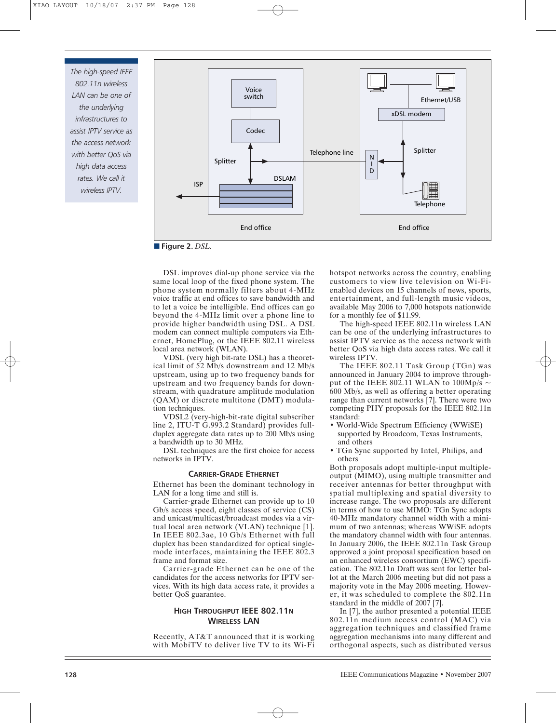*The high-speed IEEE 802.11n wireless LAN can be one of the underlying infrastructures to assist IPTV service as the access network with better QoS via high data access rates. We call it wireless IPTV.*



**■ Figure 2.** *DSL.*

DSL improves dial-up phone service via the same local loop of the fixed phone system. The phone system normally filters about 4-MHz voice traffic at end offices to save bandwidth and to let a voice be intelligible. End offices can go beyond the 4-MHz limit over a phone line to provide higher bandwidth using DSL. A DSL modem can connect multiple computers via Ethernet, HomePlug, or the IEEE 802.11 wireless local area network (WLAN).

VDSL (very high bit-rate DSL) has a theoretical limit of 52 Mb/s downstream and 12 Mb/s upstream, using up to two frequency bands for upstream and two frequency bands for downstream, with quadrature amplitude modulation (QAM) or discrete multitone (DMT) modulation techniques.

VDSL2 (very-high-bit-rate digital subscriber line 2, ITU-T G.993.2 Standard) provides fullduplex aggregate data rates up to 200 Mb/s using a bandwidth up to 30 MHz.

DSL techniques are the first choice for access networks in IPTV.

#### **CARRIER-GRADE ETHERNET**

Ethernet has been the dominant technology in LAN for a long time and still is.

Carrier-grade Ethernet can provide up to 10 Gb/s access speed, eight classes of service (CS) and unicast/multicast/broadcast modes via a virtual local area network (VLAN) technique [1]. In IEEE 802.3ae, 10 Gb/s Ethernet with full duplex has been standardized for optical singlemode interfaces, maintaining the IEEE 802.3 frame and format size.

Carrier-grade Ethernet can be one of the candidates for the access networks for IPTV services. With its high data access rate, it provides a better QoS guarantee.

## **HIGH THROUGHPUT IEEE 802.11N WIRELESS LAN**

Recently, AT&T announced that it is working with MobiTV to deliver live TV to its Wi-Fi hotspot networks across the country, enabling customers to view live television on Wi-Fienabled devices on 15 channels of news, sports, entertainment, and full-length music videos, available May 2006 to 7,000 hotspots nationwide for a monthly fee of \$11.99.

The high-speed IEEE 802.11n wireless LAN can be one of the underlying infrastructures to assist IPTV service as the access network with better QoS via high data access rates. We call it wireless IPTV.

The IEEE 802.11 Task Group (TGn) was announced in January 2004 to improve throughput of the IEEE 802.11 WLAN to  $100Mp/s \sim$ 600 Mb/s, as well as offering a better operating range than current networks [7]. There were two competing PHY proposals for the IEEE 802.11n standard:

- World-Wide Spectrum Efficiency (WWiSE) supported by Broadcom, Texas Instruments, and others
- TGn Sync supported by Intel, Philips, and others

Both proposals adopt multiple-input multipleoutput (MIMO), using multiple transmitter and receiver antennas for better throughput with spatial multiplexing and spatial diversity to increase range. The two proposals are different in terms of how to use MIMO: TGn Sync adopts 40-MHz mandatory channel width with a minimum of two antennas; whereas WWiSE adopts the mandatory channel width with four antennas. In January 2006, the IEEE 802.11n Task Group approved a joint proposal specification based on an enhanced wireless consortium (EWC) specification. The 802.11n Draft was sent for letter ballot at the March 2006 meeting but did not pass a majority vote in the May 2006 meeting. However, it was scheduled to complete the 802.11n standard in the middle of 2007 [7].

In [7], the author presented a potential IEEE 802.11n medium access control (MAC) via aggregation techniques and classified frame aggregation mechanisms into many different and orthogonal aspects, such as distributed versus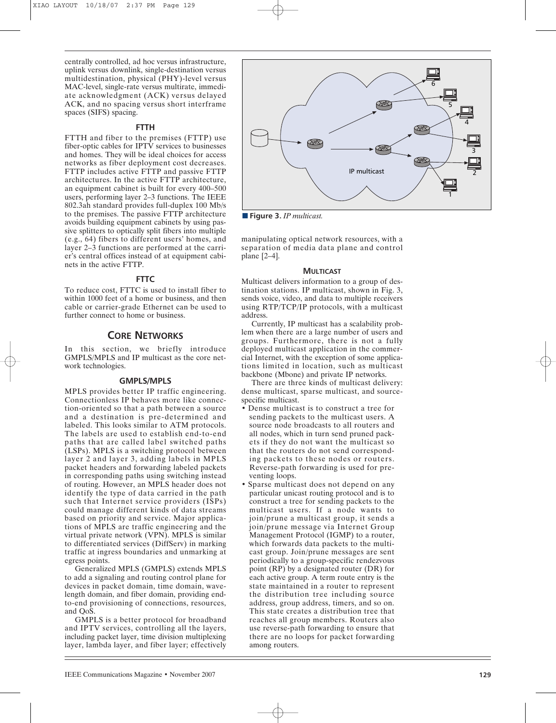centrally controlled, ad hoc versus infrastructure, uplink versus downlink, single-destination versus multidestination, physical (PHY)-level versus MAC-level, single-rate versus multirate, immediate acknowledgment (ACK) versus delayed ACK, and no spacing versus short interframe spaces (SIFS) spacing.

#### **FTTH**

FTTH and fiber to the premises (FTTP) use fiber-optic cables for IPTV services to businesses and homes. They will be ideal choices for access networks as fiber deployment cost decreases. FTTP includes active FTTP and passive FTTP architectures. In the active FTTP architecture, an equipment cabinet is built for every 400–500 users, performing layer 2–3 functions. The IEEE 802.3ah standard provides full-duplex 100 Mb/s to the premises. The passive FTTP architecture avoids building equipment cabinets by using passive splitters to optically split fibers into multiple (e.g., 64) fibers to different users' homes, and layer 2–3 functions are performed at the carrier's central offices instead of at equipment cabinets in the active FTTP.

## **FTTC**

To reduce cost, FTTC is used to install fiber to within 1000 feet of a home or business, and then cable or carrier-grade Ethernet can be used to further connect to home or business.

# **CORE NETWORKS**

In this section, we briefly introduce GMPLS/MPLS and IP multicast as the core network technologies.

## **GMPLS/MPLS**

MPLS provides better IP traffic engineering. Connectionless IP behaves more like connection-oriented so that a path between a source and a destination is pre-determined and labeled. This looks similar to ATM protocols. The labels are used to establish end-to-end paths that are called label switched paths (LSPs). MPLS is a switching protocol between layer 2 and layer 3, adding labels in MPLS packet headers and forwarding labeled packets in corresponding paths using switching instead of routing. However, an MPLS header does not identify the type of data carried in the path such that Internet service providers (ISPs) could manage different kinds of data streams based on priority and service. Major applications of MPLS are traffic engineering and the virtual private network (VPN). MPLS is similar to differentiated services (DiffServ) in marking traffic at ingress boundaries and unmarking at egress points.

Generalized MPLS (GMPLS) extends MPLS to add a signaling and routing control plane for devices in packet domain, time domain, wavelength domain, and fiber domain, providing endto-end provisioning of connections, resources, and QoS.

GMPLS is a better protocol for broadband and IPTV services, controlling all the layers, including packet layer, time division multiplexing layer, lambda layer, and fiber layer; effectively



**■ Figure 3.** *IP multicast.*

manipulating optical network resources, with a separation of media data plane and control plane [2–4].

#### **MULTICAST**

Multicast delivers information to a group of destination stations. IP multicast, shown in Fig. 3, sends voice, video, and data to multiple receivers using RTP/TCP/IP protocols, with a multicast address.

Currently, IP multicast has a scalability problem when there are a large number of users and groups. Furthermore, there is not a fully deployed multicast application in the commercial Internet, with the exception of some applications limited in location, such as multicast backbone (Mbone) and private IP networks.

There are three kinds of multicast delivery: dense multicast, sparse multicast, and sourcespecific multicast.

- Dense multicast is to construct a tree for sending packets to the multicast users. A source node broadcasts to all routers and all nodes, which in turn send pruned packets if they do not want the multicast so that the routers do not send corresponding packets to these nodes or routers. Reverse-path forwarding is used for preventing loops.
- Sparse multicast does not depend on any particular unicast routing protocol and is to construct a tree for sending packets to the multicast users. If a node wants to join/prune a multicast group, it sends a join/prune message via Internet Group Management Protocol (IGMP) to a router, which forwards data packets to the multicast group. Join/prune messages are sent periodically to a group-specific rendezvous point (RP) by a designated router (DR) for each active group. A term route entry is the state maintained in a router to represent the distribution tree including source address, group address, timers, and so on. This state creates a distribution tree that reaches all group members. Routers also use reverse-path forwarding to ensure that there are no loops for packet forwarding among routers.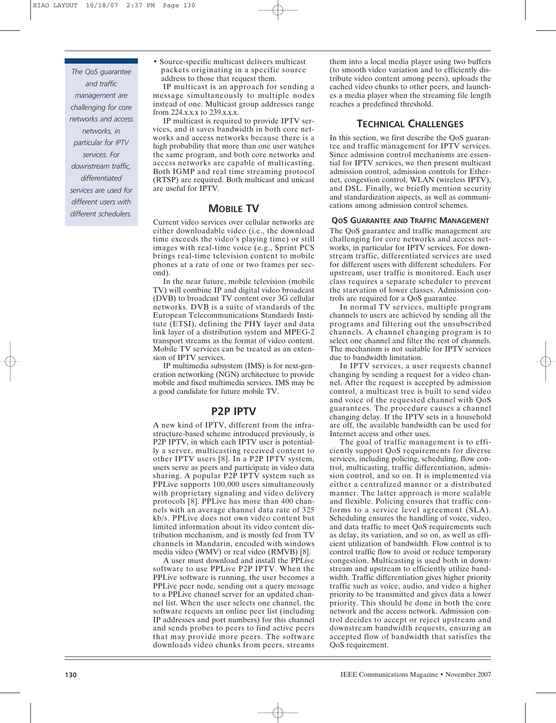*The QoS guarantee and traffic management are challenging for core networks and access networks, in particular for IPTV services. For downstream traffic, differentiated services are used for different users with different schedulers.*

• Source-specific multicast delivers multicast packets originating in a specific source address to those that request them.

IP multicast is an approach for sending a message simultaneously to multiple nodes instead of one. Multicast group addresses range from 224.x.x.x to 239.x.x.x.

IP multicast is required to provide IPTV services, and it saves bandwidth in both core networks and access networks because there is a high probability that more than one user watches the same program, and both core networks and access networks are capable of multicasting. Both IGMP and real time streaming protocol (RTSP) are required. Both multicast and unicast are useful for IPTV.

# **MOBILE TV**

Current video services over cellular networks are either downloadable video (i.e., the download time exceeds the video's playing time) or still images with real-time voice (e.g., Sprint PCS brings real-time television content to mobile phones at a rate of one or two frames per second).

In the near future, mobile television (mobile TV) will combine IP and digital video broadcast (DVB) to broadcast TV content over 3G cellular networks. DVB is a suite of standards of the European Telecommunications Standards Institute (ETSI), defining the PHY layer and data link layer of a distribution system and MPEG-2 transport streams as the format of video content. Mobile TV services can be treated as an extension of IPTV services.

IP multimedia subsystem (IMS) is for next-generation networking (NGN) architecture to provide mobile and fixed multimedia services. IMS may be a good candidate for future mobile TV.

# **P2P IPTV**

A new kind of IPTV, different from the infrastructure-based scheme introduced previously, is P2P IPTV, in which each IPTV user is potentially a server, multicasting received content to other IPTV users [8]. In a P2P IPTV system, users serve as peers and participate in video data sharing. A popular P2P IPTV system such as PPLive supports 100,000 users simultaneously with proprietary signaling and video delivery protocols [8]. PPLive has more than 400 channels with an average channel data rate of 325 kb/s. PPLive does not own video content but limited information about its video content distribution mechanism, and is mostly fed from TV channels in Mandarin, encoded with windows media video (WMV) or real video (RMVB) [8].

A user must download and install the PPLive software to use PPLive P2P IPTV. When the PPLive software is running, the user becomes a PPLive peer node, sending out a query message to a PPLive channel server for an updated channel list. When the user selects one channel, the software requests an online peer list (including IP addresses and port numbers) for this channel and sends probes to peers to find active peers that may provide more peers. The software downloads video chunks from peers, streams them into a local media player using two buffers (to smooth video variation and to efficiently distribute video content among peers), uploads the cached video chunks to other peers, and launches a media player when the streaming file length reaches a predefined threshold.

# **TECHNICAL CHALLENGES**

In this section, we first describe the QoS guarantee and traffic management for IPTV services. Since admission control mechanisms are essential for IPTV services, we then present multicast admission control, admission controls for Ethernet, congestion control, WLAN (wireless IPTV), and DSL. Finally, we briefly mention security and standardization aspects, as well as communications among admission control schemes.

## **QOS GUARANTEE AND TRAFFIC MANAGEMENT**

The QoS guarantee and traffic management are challenging for core networks and access networks, in particular for IPTV services. For downstream traffic, differentiated services are used for different users with different schedulers. For upstream, user traffic is monitored. Each user class requires a separate scheduler to prevent the starvation of lower classes. Admission controls are required for a QoS guarantee.

In normal TV services, multiple program channels to users are achieved by sending all the programs and filtering out the unsubscribed channels. A channel changing program is to select one channel and filter the rest of channels. The mechanism is not suitable for IPTV services due to bandwidth limitation.

In IPTV services, a user requests channel changing by sending a request for a video channel. After the request is accepted by admission control, a multicast tree is built to send video and voice of the requested channel with QoS guarantees. The procedure causes a channel changing delay. If the IPTV sets in a household are off, the available bandwidth can be used for Internet access and other uses.

The goal of traffic management is to efficiently support QoS requirements for diverse services, including policing, scheduling, flow control, multicasting, traffic differentiation, admission control, and so on. It is implemented via either a centralized manner or a distributed manner. The latter approach is more scalable and flexible. Policing ensures that traffic conforms to a service level agreement (SLA). Scheduling ensures the handling of voice, video, and data traffic to meet QoS requirements such as delay, its variation, and so on, as well as efficient utilization of bandwidth. Flow control is to control traffic flow to avoid or reduce temporary congestion. Multicasting is used both in downstream and upstream to efficiently utilize bandwidth. Traffic differentiation gives higher priority traffic such as voice, audio, and video a higher priority to be transmitted and gives data a lower priority. This should be done in both the core network and the access network. Admission control decides to accept or reject upstream and downstream bandwidth requests, ensuring an accepted flow of bandwidth that satisfies the QoS requirement.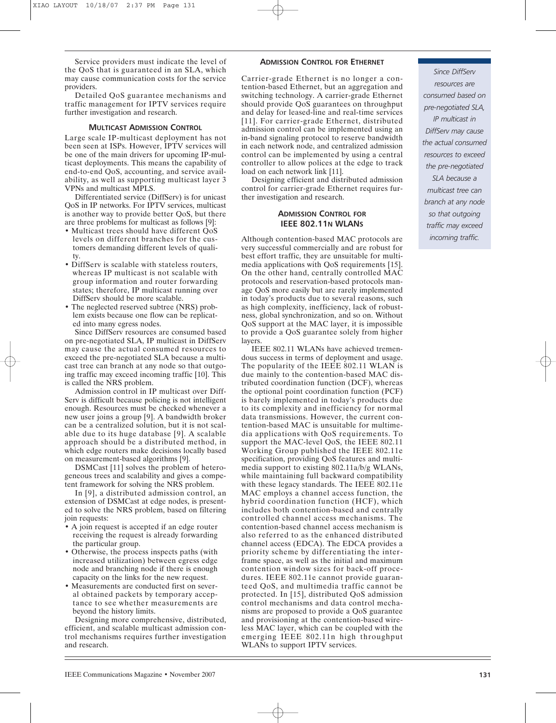Service providers must indicate the level of the QoS that is guaranteed in an SLA, which may cause communication costs for the service providers.

Detailed QoS guarantee mechanisms and traffic management for IPTV services require further investigation and research.

#### **MULTICAST ADMISSION CONTROL**

Large scale IP-multicast deployment has not been seen at ISPs. However, IPTV services will be one of the main drivers for upcoming IP-multicast deployments. This means the capability of end-to-end QoS, accounting, and service availability, as well as supporting multicast layer 3 VPNs and multicast MPLS.

Differentiated service (DiffServ) is for unicast QoS in IP networks. For IPTV services, multicast is another way to provide better QoS, but there are three problems for multicast as follows [9]:

- Multicast trees should have different QoS levels on different branches for the customers demanding different levels of quality.
- DiffServ is scalable with stateless routers, whereas IP multicast is not scalable with group information and router forwarding states; therefore, IP multicast running over DiffServ should be more scalable.
- The neglected reserved subtree (NRS) problem exists because one flow can be replicated into many egress nodes.

Since DiffServ resources are consumed based on pre-negotiated SLA, IP multicast in DiffServ may cause the actual consumed resources to exceed the pre-negotiated SLA because a multicast tree can branch at any node so that outgoing traffic may exceed incoming traffic [10]. This is called the NRS problem.

Admission control in IP multicast over Diff-Serv is difficult because policing is not intelligent enough. Resources must be checked whenever a new user joins a group [9]. A bandwidth broker can be a centralized solution, but it is not scalable due to its huge database [9]. A scalable approach should be a distributed method, in which edge routers make decisions locally based on measurement-based algorithms [9].

DSMCast [11] solves the problem of heterogeneous trees and scalability and gives a competent framework for solving the NRS problem.

In [9], a distributed admission control, an extension of DSMCast at edge nodes, is presented to solve the NRS problem, based on filtering join requests:

- A join request is accepted if an edge router receiving the request is already forwarding the particular group.
- Otherwise, the process inspects paths (with increased utilization) between egress edge node and branching node if there is enough capacity on the links for the new request.
- Measurements are conducted first on several obtained packets by temporary acceptance to see whether measurements are beyond the history limits.

Designing more comprehensive, distributed, efficient, and scalable multicast admission control mechanisms requires further investigation and research.

## **ADMISSION CONTROL FOR ETHERNET**

Carrier-grade Ethernet is no longer a contention-based Ethernet, but an aggregation and switching technology. A carrier-grade Ethernet should provide QoS guarantees on throughput and delay for leased-line and real-time services [11]. For carrier-grade Ethernet, distributed admission control can be implemented using an in-band signaling protocol to reserve bandwidth in each network node, and centralized admission control can be implemented by using a central controller to allow polices at the edge to track load on each network link [11].

Designing efficient and distributed admission control for carrier-grade Ethernet requires further investigation and research.

## **ADMISSION CONTROL FOR IEEE 802.11N WLANS**

Although contention-based MAC protocols are very successful commercially and are robust for best effort traffic, they are unsuitable for multimedia applications with QoS requirements [15]. On the other hand, centrally controlled MAC protocols and reservation-based protocols manage QoS more easily but are rarely implemented in today's products due to several reasons, such as high complexity, inefficiency, lack of robustness, global synchronization, and so on. Without QoS support at the MAC layer, it is impossible to provide a QoS guarantee solely from higher layers.

IEEE 802.11 WLANs have achieved tremendous success in terms of deployment and usage. The popularity of the IEEE 802.11 WLAN is due mainly to the contention-based MAC distributed coordination function (DCF), whereas the optional point coordination function (PCF) is barely implemented in today's products due to its complexity and inefficiency for normal data transmissions. However, the current contention-based MAC is unsuitable for multimedia applications with QoS requirements. To support the MAC-level QoS, the IEEE 802.11 Working Group published the IEEE 802.11e specification, providing QoS features and multimedia support to existing 802.11a/b/g WLANs, while maintaining full backward compatibility with these legacy standards. The IEEE 802.11e MAC employs a channel access function, the hybrid coordination function (HCF), which includes both contention-based and centrally controlled channel access mechanisms. The contention-based channel access mechanism is also referred to as the enhanced distributed channel access (EDCA). The EDCA provides a priority scheme by differentiating the interframe space, as well as the initial and maximum contention window sizes for back-off procedures. IEEE 802.11e cannot provide guaranteed QoS, and multimedia traffic cannot be protected. In [15], distributed QoS admission control mechanisms and data control mechanisms are proposed to provide a QoS guarantee and provisioning at the contention-based wireless MAC layer, which can be coupled with the emerging IEEE 802.11n high throughput WLANs to support IPTV services.

*Since DiffServ resources are consumed based on pre-negotiated SLA, IP multicast in DiffServ may cause the actual consumed resources to exceed the pre-negotiated SLA because a multicast tree can branch at any node so that outgoing traffic may exceed incoming traffic.*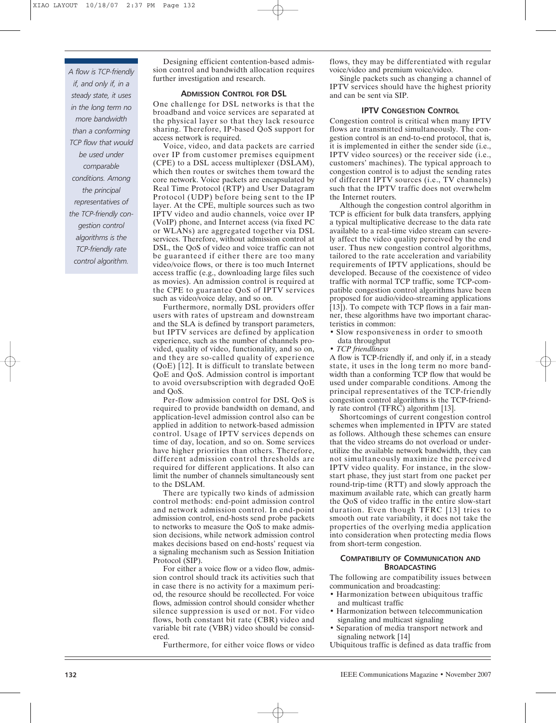*A flow is TCP-friendly if, and only if, in a steady state, it uses in the long term no more bandwidth than a conforming TCP flow that would be used under comparable conditions. Among the principal representatives of the TCP-friendly congestion control algorithms is the TCP-friendly rate control algorithm.*

Designing efficient contention-based admission control and bandwidth allocation requires further investigation and research.

#### **ADMISSION CONTROL FOR DSL**

One challenge for DSL networks is that the broadband and voice services are separated at the physical layer so that they lack resource sharing. Therefore, IP-based QoS support for access network is required.

Voice, video, and data packets are carried over IP from customer premises equipment (CPE) to a DSL access multiplexer (DSLAM), which then routes or switches them toward the core network. Voice packets are encapsulated by Real Time Protocol (RTP) and User Datagram Protocol (UDP) before being sent to the IP layer. At the CPE, multiple sources such as two IPTV video and audio channels, voice over IP (VoIP) phone, and Internet access (via fixed PC or WLANs) are aggregated together via DSL services. Therefore, without admission control at DSL, the QoS of video and voice traffic can not be guaranteed if either there are too many video/voice flows, or there is too much Internet access traffic (e.g., downloading large files such as movies). An admission control is required at the CPE to guarantee QoS of IPTV services such as video/voice delay, and so on.

Furthermore, normally DSL providers offer users with rates of upstream and downstream and the SLA is defined by transport parameters, but IPTV services are defined by application experience, such as the number of channels provided, quality of video, functionality, and so on, and they are so-called quality of experience (QoE) [12]. It is difficult to translate between QoE and QoS. Admission control is important to avoid oversubscription with degraded QoE and QoS.

Per-flow admission control for DSL QoS is required to provide bandwidth on demand, and application-level admission control also can be applied in addition to network-based admission control. Usage of IPTV services depends on time of day, location, and so on. Some services have higher priorities than others. Therefore, different admission control thresholds are required for different applications. It also can limit the number of channels simultaneously sent to the DSLAM.

There are typically two kinds of admission control methods: end-point admission control and network admission control. In end-point admission control, end-hosts send probe packets to networks to measure the QoS to make admission decisions, while network admission control makes decisions based on end-hosts' request via a signaling mechanism such as Session Initiation Protocol (SIP).

For either a voice flow or a video flow, admission control should track its activities such that in case there is no activity for a maximum period, the resource should be recollected. For voice flows, admission control should consider whether silence suppression is used or not. For video flows, both constant bit rate (CBR) video and variable bit rate (VBR) video should be considered.

Furthermore, for either voice flows or video

flows, they may be differentiated with regular voice/video and premium voice/video.

Single packets such as changing a channel of IPTV services should have the highest priority and can be sent via SIP.

## **IPTV CONGESTION CONTROL**

Congestion control is critical when many IPTV flows are transmitted simultaneously. The congestion control is an end-to-end protocol, that is, it is implemented in either the sender side (i.e., IPTV video sources) or the receiver side (i.e., customers' machines). The typical approach to congestion control is to adjust the sending rates of different IPTV sources (i.e., TV channels) such that the IPTV traffic does not overwhelm the Internet routers.

Although the congestion control algorithm in TCP is efficient for bulk data transfers, applying a typical multiplicative decrease to the data rate available to a real-time video stream can severely affect the video quality perceived by the end user. Thus new congestion control algorithms, tailored to the rate acceleration and variability requirements of IPTV applications, should be developed. Because of the coexistence of video traffic with normal TCP traffic, some TCP-compatible congestion control algorithms have been proposed for audio/video-streaming applications [13]). To compete with TCP flows in a fair manner, these algorithms have two important characteristics in common:

- Slow responsiveness in order to smooth data throughput
- *TCP friendliness*

A flow is TCP-friendly if, and only if, in a steady state, it uses in the long term no more bandwidth than a conforming TCP flow that would be used under comparable conditions. Among the principal representatives of the TCP-friendly congestion control algorithms is the TCP-friendly rate control (TFRC) algorithm [13].

Shortcomings of current congestion control schemes when implemented in IPTV are stated as follows. Although these schemes can ensure that the video streams do not overload or underutilize the available network bandwidth, they can not simultaneously maximize the perceived IPTV video quality. For instance, in the slowstart phase, they just start from one packet per round-trip-time (RTT) and slowly approach the maximum available rate, which can greatly harm the QoS of video traffic in the entire slow-start duration. Even though TFRC [13] tries to smooth out rate variability, it does not take the properties of the overlying media application into consideration when protecting media flows from short-term congestion.

#### **COMPATIBILITY OF COMMUNICATION AND BROADCASTING**

The following are compatibility issues between communication and broadcasting:

- Harmonization between ubiquitous traffic and multicast traffic
- Harmonization between telecommunication signaling and multicast signaling
- Separation of media transport network and signaling network [14]
- Ubiquitous traffic is defined as data traffic from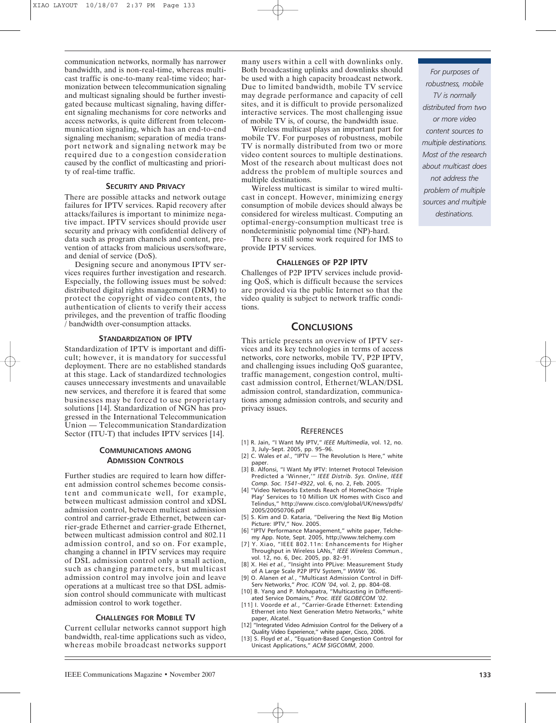communication networks, normally has narrower bandwidth, and is non-real-time, whereas multicast traffic is one-to-many real-time video; harmonization between telecommunication signaling and multicast signaling should be further investigated because multicast signaling, having different signaling mechanisms for core networks and access networks, is quite different from telecommunication signaling, which has an end-to-end signaling mechanism; separation of media transport network and signaling network may be required due to a congestion consideration caused by the conflict of multicasting and priority of real-time traffic.

#### **SECURITY AND PRIVACY**

There are possible attacks and network outage failures for IPTV services. Rapid recovery after attacks/failures is important to minimize negative impact. IPTV services should provide user security and privacy with confidential delivery of data such as program channels and content, prevention of attacks from malicious users/software, and denial of service (DoS).

Designing secure and anonymous IPTV services requires further investigation and research. Especially, the following issues must be solved: distributed digital rights management (DRM) to protect the copyright of video contents, the authentication of clients to verify their access privileges, and the prevention of traffic flooding / bandwidth over-consumption attacks.

#### **STANDARDIZATION OF IPTV**

Standardization of IPTV is important and difficult; however, it is mandatory for successful deployment. There are no established standards at this stage. Lack of standardized technologies causes unnecessary investments and unavailable new services, and therefore it is feared that some businesses may be forced to use proprietary solutions [14]. Standardization of NGN has progressed in the International Telecommunication Union — Telecommunication Standardization Sector (ITU-T) that includes IPTV services [14].

## **COMMUNICATIONS AMONG ADMISSION CONTROLS**

Further studies are required to learn how different admission control schemes become consistent and communicate well, for example, between multicast admission control and xDSL admission control, between multicast admission control and carrier-grade Ethernet, between carrier-grade Ethernet and carrier-grade Ethernet, between multicast admission control and 802.11 admission control, and so on. For example, changing a channel in IPTV services may require of DSL admission control only a small action, such as changing parameters, but multicast admission control may involve join and leave operations at a multicast tree so that DSL admission control should communicate with multicast admission control to work together.

#### **CHALLENGES FOR MOBILE TV**

Current cellular networks cannot support high bandwidth, real-time applications such as video, whereas mobile broadcast networks support many users within a cell with downlinks only. Both broadcasting uplinks and downlinks should be used with a high capacity broadcast network. Due to limited bandwidth, mobile TV service may degrade performance and capacity of cell sites, and it is difficult to provide personalized interactive services. The most challenging issue of mobile TV is, of course, the bandwidth issue.

*For purposes of robustness, mobile TV is normally distributed from two or more video content sources to multiple destinations. Most of the research about multicast does not address the problem of multiple sources and multiple destinations.*

Wireless multicast plays an important part for mobile TV. For purposes of robustness, mobile TV is normally distributed from two or more video content sources to multiple destinations. Most of the research about multicast does not address the problem of multiple sources and multiple destinations.

Wireless multicast is similar to wired multicast in concept. However, minimizing energy consumption of mobile devices should always be considered for wireless multicast. Computing an optimal-energy-consumption multicast tree is nondeterministic polynomial time (NP)-hard.

There is still some work required for IMS to provide IPTV services.

#### **CHALLENGES OF P2P IPTV**

Challenges of P2P IPTV services include providing QoS, which is difficult because the services are provided via the public Internet so that the video quality is subject to network traffic conditions.

# **CONCLUSIONS**

This article presents an overview of IPTV services and its key technologies in terms of access networks, core networks, mobile TV, P2P IPTV, and challenging issues including QoS guarantee, traffic management, congestion control, multicast admission control, Ethernet/WLAN/DSL admission control, standardization, communications among admission controls, and security and privacy issues.

#### **REFERENCES**

- [1] R. Jain, "I Want My IPTV," *IEEE Multimedia*, vol. 12, no. 3, July–Sept. 2005, pp. 95–96.
- [2] C. Wales et al., "IPTV The Revolution Is Here," white paper.
- [3] B. Alfonsi, "I Want My IPTV: Internet Protocol Television Predicted a 'Winner,'" *IEEE Distrib. Sys. Online*, *IEEE Comp. Soc. 1541-4922*, vol. 6, no. 2, Feb. 2005.
- [4] "Video Networks Extends Reach of HomeChoice 'Triple Play' Services to 10 Million UK Homes with Cisco and Telindus," http://www.cisco.com/global/UK/news/pdfs/ 2005/20050706.pdf
- [5] S. Kim and D. Kataria, "Delivering the Next Big Motion Picture: IPTV," Nov. 2005.
- [6] "IPTV Performance Management," white paper, Telchemy App. Note, Sept. 2005, http://www.telchemy.com
- [7] Y. Xiao, "IEEE 802.11n: Enhancements for Higher Throughput in Wireless LANs," *IEEE Wireless Commun.*,
- vol. 12, no. 6, Dec. 2005, pp. 82–91. [8] X. Hei *et al.*, "Insight into PPLive: Measurement Study of A Large Scale P2P IPTV System," *WWW '06*.
- [9] O. Alanen *et al.*, "Multicast Admission Control in Diff-Serv Networks," *Proc. ICON '04*, vol. 2, pp. 804–08.
- [10] B. Yang and P. Mohapatra, "Multicasting in Differentiated Service Domains," *Proc. IEEE GLOBECOM '02*. [11] I. Voorde *et al.*, "Carrier-Grade Ethernet: Extending
- Ethernet into Next Generation Metro Networks," white paper, Alcatel. [12] "Integrated Video Admission Control for the Delivery of a
- Quality Video Experience," white paper, Cisco, 2006.
- [13] S. Floyd *et al.*, "Equation-Based Congestion Control for Unicast Applications," *ACM SIGCOMM*, 2000.